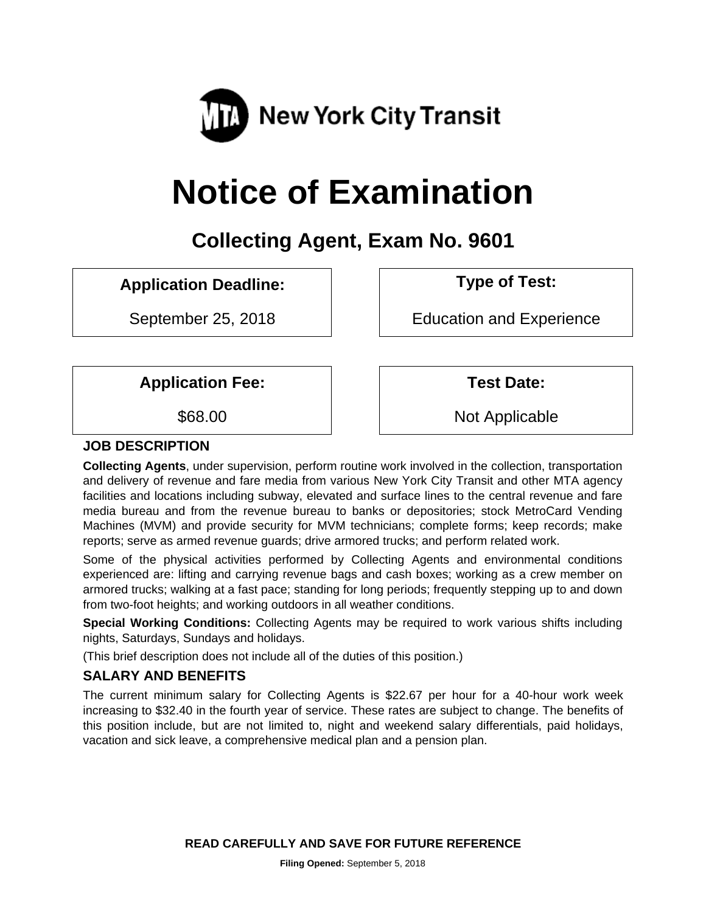

# **Notice of Examination**

# **Collecting Agent, Exam No. 9601**

# **Application Deadline: Type of Test:**

September 25, 2018 **EDUCA** Education and Experience

Application Fee:  $\vert$  | Test Date:

\$68.00 Not Applicable

# **JOB DESCRIPTION**

**Collecting Agents**, under supervision, perform routine work involved in the collection, transportation and delivery of revenue and fare media from various New York City Transit and other MTA agency facilities and locations including subway, elevated and surface lines to the central revenue and fare media bureau and from the revenue bureau to banks or depositories; stock MetroCard Vending Machines (MVM) and provide security for MVM technicians; complete forms; keep records; make reports; serve as armed revenue guards; drive armored trucks; and perform related work.

Some of the physical activities performed by Collecting Agents and environmental conditions experienced are: lifting and carrying revenue bags and cash boxes; working as a crew member on armored trucks; walking at a fast pace; standing for long periods; frequently stepping up to and down from two-foot heights; and working outdoors in all weather conditions.

**Special Working Conditions:** Collecting Agents may be required to work various shifts including nights, Saturdays, Sundays and holidays.

(This brief description does not include all of the duties of this position.)

# **SALARY AND BENEFITS**

The current minimum salary for Collecting Agents is \$22.67 per hour for a 40-hour work week increasing to \$32.40 in the fourth year of service. These rates are subject to change. The benefits of this position include, but are not limited to, night and weekend salary differentials, paid holidays, vacation and sick leave, a comprehensive medical plan and a pension plan.

**READ CAREFULLY AND SAVE FOR FUTURE REFERENCE**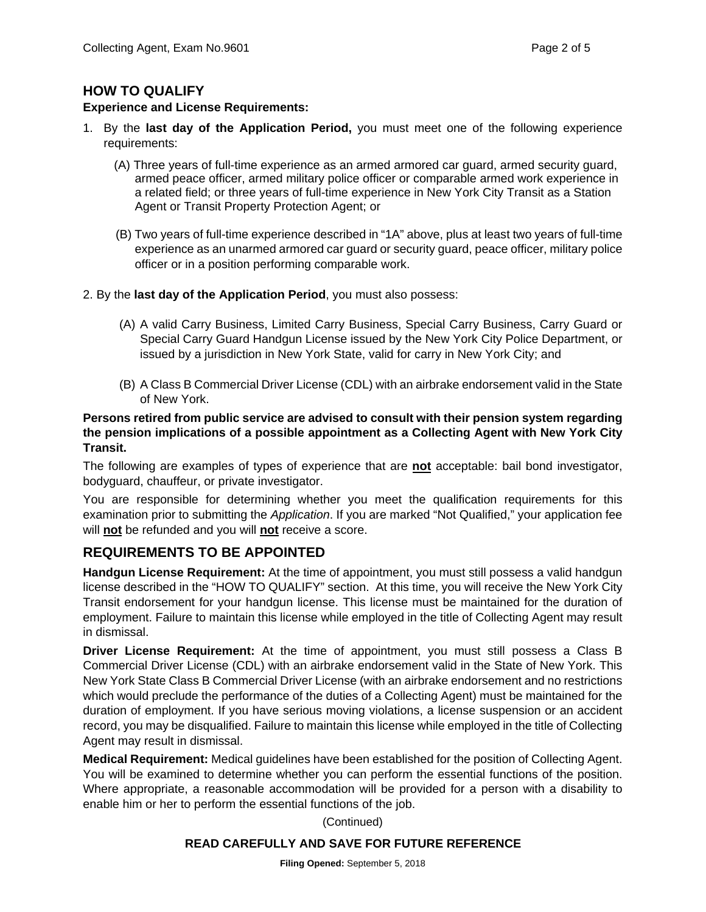#### **HOW TO QUALIFY**

#### **Experience and License Requirements:**

- 1. By the **last day of the Application Period,** you must meet one of the following experience requirements:
	- (A) Three years of full-time experience as an armed armored car guard, armed security guard, armed peace officer, armed military police officer or comparable armed work experience in a related field; or three years of full-time experience in New York City Transit as a Station Agent or Transit Property Protection Agent; or
	- (B) Two years of full-time experience described in "1A" above, plus at least two years of full-time experience as an unarmed armored car guard or security guard, peace officer, military police officer or in a position performing comparable work.
- 2. By the **last day of the Application Period**, you must also possess:
	- (A) A valid Carry Business, Limited Carry Business, Special Carry Business, Carry Guard or Special Carry Guard Handgun License issued by the New York City Police Department, or issued by a jurisdiction in New York State, valid for carry in New York City; and
	- (B) A Class B Commercial Driver License (CDL) with an airbrake endorsement valid in the State of New York.

#### **Persons retired from public service are advised to consult with their pension system regarding the pension implications of a possible appointment as a Collecting Agent with New York City Transit.**

The following are examples of types of experience that are **not** acceptable: bail bond investigator, bodyguard, chauffeur, or private investigator.

You are responsible for determining whether you meet the qualification requirements for this examination prior to submitting the *Application*. If you are marked "Not Qualified," your application fee will **not** be refunded and you will **not** receive a score.

#### **REQUIREMENTS TO BE APPOINTED**

**Handgun License Requirement:** At the time of appointment, you must still possess a valid handgun license described in the "HOW TO QUALIFY" section. At this time, you will receive the New York City Transit endorsement for your handgun license. This license must be maintained for the duration of employment. Failure to maintain this license while employed in the title of Collecting Agent may result in dismissal.

**Driver License Requirement:** At the time of appointment, you must still possess a Class B Commercial Driver License (CDL) with an airbrake endorsement valid in the State of New York. This New York State Class B Commercial Driver License (with an airbrake endorsement and no restrictions which would preclude the performance of the duties of a Collecting Agent) must be maintained for the duration of employment. If you have serious moving violations, a license suspension or an accident record, you may be disqualified. Failure to maintain this license while employed in the title of Collecting Agent may result in dismissal.

**Medical Requirement:** Medical guidelines have been established for the position of Collecting Agent. You will be examined to determine whether you can perform the essential functions of the position. Where appropriate, a reasonable accommodation will be provided for a person with a disability to enable him or her to perform the essential functions of the job.

(Continued)

#### **READ CAREFULLY AND SAVE FOR FUTURE REFERENCE**

**Filing Opened:** September 5, 2018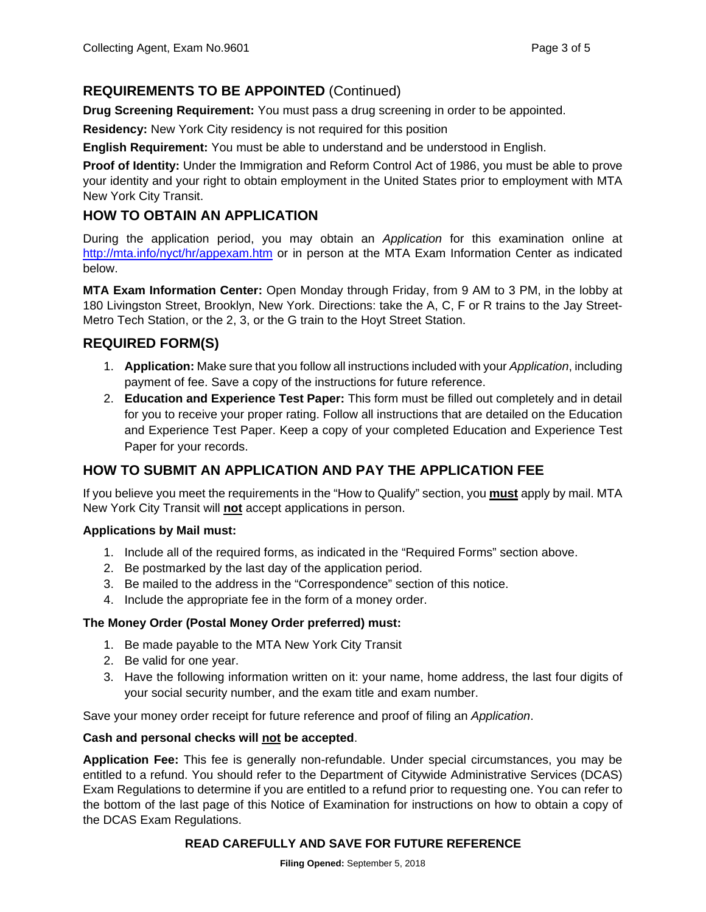# **REQUIREMENTS TO BE APPOINTED** (Continued)

**Drug Screening Requirement:** You must pass a drug screening in order to be appointed.

**Residency:** New York City residency is not required for this position

**English Requirement:** You must be able to understand and be understood in English.

**Proof of Identity:** Under the Immigration and Reform Control Act of 1986, you must be able to prove your identity and your right to obtain employment in the United States prior to employment with MTA New York City Transit.

# **HOW TO OBTAIN AN APPLICATION**

During the application period, you may obtain an *Application* for this examination online at http://mta.info/nyct/hr/appexam.htm or in person at the MTA Exam Information Center as indicated below.

**MTA Exam Information Center:** Open Monday through Friday, from 9 AM to 3 PM, in the lobby at 180 Livingston Street, Brooklyn, New York. Directions: take the A, C, F or R trains to the Jay Street-Metro Tech Station, or the 2, 3, or the G train to the Hoyt Street Station.

#### **REQUIRED FORM(S)**

- 1. **Application:** Make sure that you follow all instructions included with your *Application*, including payment of fee. Save a copy of the instructions for future reference.
- 2. **Education and Experience Test Paper:** This form must be filled out completely and in detail for you to receive your proper rating. Follow all instructions that are detailed on the Education and Experience Test Paper. Keep a copy of your completed Education and Experience Test Paper for your records.

# **HOW TO SUBMIT AN APPLICATION AND PAY THE APPLICATION FEE**

If you believe you meet the requirements in the "How to Qualify" section, you **must** apply by mail. MTA New York City Transit will **not** accept applications in person.

#### **Applications by Mail must:**

- 1. Include all of the required forms, as indicated in the "Required Forms" section above.
- 2. Be postmarked by the last day of the application period.
- 3. Be mailed to the address in the "Correspondence" section of this notice.
- 4. Include the appropriate fee in the form of a money order.

#### **The Money Order (Postal Money Order preferred) must:**

- 1. Be made payable to the MTA New York City Transit
- 2. Be valid for one year.
- 3. Have the following information written on it: your name, home address, the last four digits of your social security number, and the exam title and exam number.

Save your money order receipt for future reference and proof of filing an *Application*.

#### **Cash and personal checks will not be accepted**.

**Application Fee:** This fee is generally non-refundable. Under special circumstances, you may be entitled to a refund. You should refer to the Department of Citywide Administrative Services (DCAS) Exam Regulations to determine if you are entitled to a refund prior to requesting one. You can refer to the bottom of the last page of this Notice of Examination for instructions on how to obtain a copy of the DCAS Exam Regulations.

#### **READ CAREFULLY AND SAVE FOR FUTURE REFERENCE**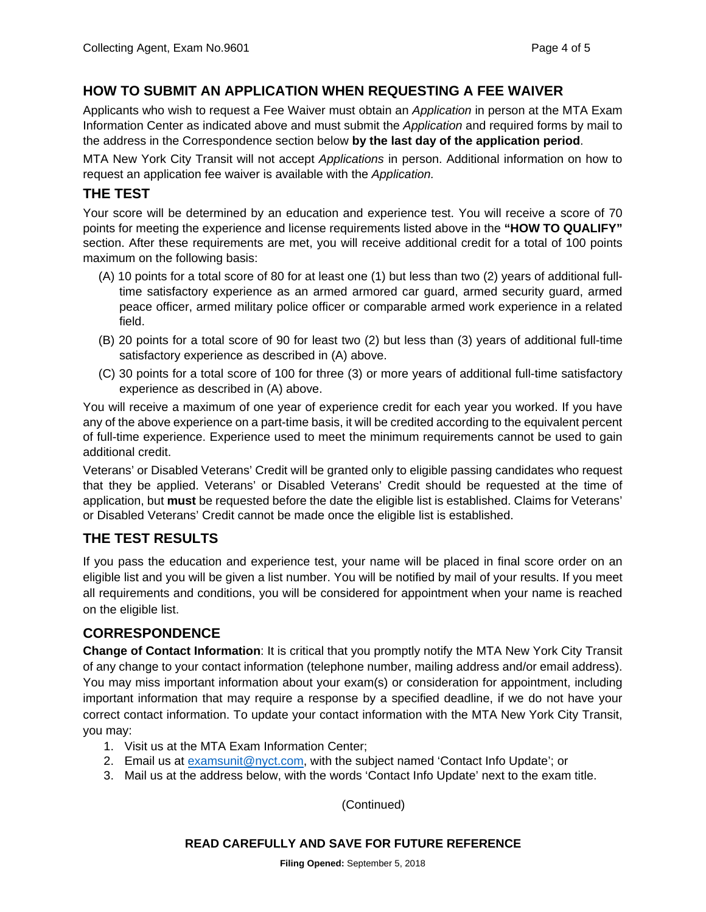# **HOW TO SUBMIT AN APPLICATION WHEN REQUESTING A FEE WAIVER**

Applicants who wish to request a Fee Waiver must obtain an *Application* in person at the MTA Exam Information Center as indicated above and must submit the *Application* and required forms by mail to the address in the Correspondence section below **by the last day of the application period**.

MTA New York City Transit will not accept *Applications* in person. Additional information on how to request an application fee waiver is available with the *Application.*

#### **THE TEST**

Your score will be determined by an education and experience test. You will receive a score of 70 points for meeting the experience and license requirements listed above in the **"HOW TO QUALIFY"** section. After these requirements are met, you will receive additional credit for a total of 100 points maximum on the following basis:

- (A) 10 points for a total score of 80 for at least one (1) but less than two (2) years of additional fulltime satisfactory experience as an armed armored car guard, armed security guard, armed peace officer, armed military police officer or comparable armed work experience in a related field.
- (B) 20 points for a total score of 90 for least two (2) but less than (3) years of additional full-time satisfactory experience as described in (A) above.
- (C) 30 points for a total score of 100 for three (3) or more years of additional full-time satisfactory experience as described in (A) above.

You will receive a maximum of one year of experience credit for each year you worked. If you have any of the above experience on a part-time basis, it will be credited according to the equivalent percent of full-time experience. Experience used to meet the minimum requirements cannot be used to gain additional credit.

Veterans' or Disabled Veterans' Credit will be granted only to eligible passing candidates who request that they be applied. Veterans' or Disabled Veterans' Credit should be requested at the time of application, but **must** be requested before the date the eligible list is established. Claims for Veterans' or Disabled Veterans' Credit cannot be made once the eligible list is established.

# **THE TEST RESULTS**

If you pass the education and experience test, your name will be placed in final score order on an eligible list and you will be given a list number. You will be notified by mail of your results. If you meet all requirements and conditions, you will be considered for appointment when your name is reached on the eligible list.

#### **CORRESPONDENCE**

**Change of Contact Information**: It is critical that you promptly notify the MTA New York City Transit of any change to your contact information (telephone number, mailing address and/or email address). You may miss important information about your exam(s) or consideration for appointment, including important information that may require a response by a specified deadline, if we do not have your correct contact information. To update your contact information with the MTA New York City Transit, you may:

- 1. Visit us at the MTA Exam Information Center;
- 2. Email us at examsunit@nyct.com, with the subject named 'Contact Info Update'; or
- 3. Mail us at the address below, with the words 'Contact Info Update' next to the exam title.

(Continued)